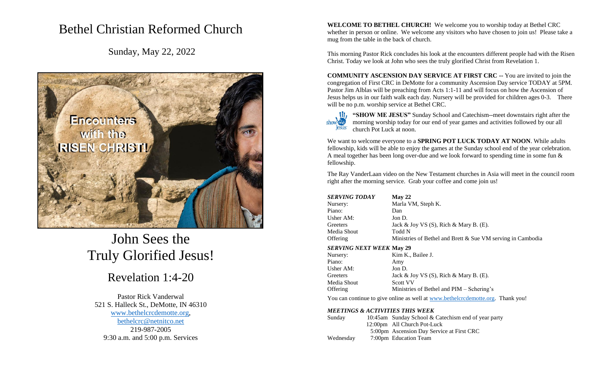# Bethel Christian Reformed Church

Sunday, May 22, 2022



# John Sees the Truly Glorified Jesus!

# Revelation 1:4-20

Pastor Rick Vanderwal 521 S. Halleck St., DeMotte, IN 46310 [www.bethelcrcdemotte.org,](http://www.bethelcrcdemotte.org/) [bethelcrc@netnitco.net](mailto:bethelcrc@netnitco.net) 219-987-2005 9:30 a.m. and 5:00 p.m. Services

**WELCOME TO BETHEL CHURCH!** We welcome you to worship today at Bethel CRC whether in person or online. We welcome any visitors who have chosen to join us! Please take a mug from the table in the back of church.

This morning Pastor Rick concludes his look at the encounters different people had with the Risen Christ. Today we look at John who sees the truly glorified Christ from Revelation 1.

**COMMUNITY ASCENSION DAY SERVICE AT FIRST CRC --** You are invited to join the congregation of First CRC in DeMotte for a community Ascension Day service TODAY at 5PM. Pastor Jim Alblas will be preaching from Acts 1:1-11 and will focus on how the Ascension of Jesus helps us in our faith walk each day. Nursery will be provided for children ages 0-3. There will be no p.m. worship service at Bethel CRC.



**"SHOW ME JESUS"** Sunday School and Catechism--meet downstairs right after the morning worship today for our end of year games and activities followed by our all church Pot Luck at noon.

We want to welcome everyone to a **SPRING POT LUCK TODAY AT NOON**. While adults fellowship, kids will be able to enjoy the games at the Sunday school end of the year celebration. A meal together has been long over-due and we look forward to spending time in some fun & fellowship.

The Ray VanderLaan video on the New Testament churches in Asia will meet in the council room right after the morning service. Grab your coffee and come join us!

| SERVING TODAY | $M$ ay 22                                                   |
|---------------|-------------------------------------------------------------|
| Nursery:      | Marla VM, Steph K.                                          |
| Piano:        | Dan                                                         |
| Usher AM:     | Jon D.                                                      |
| Greeters      | Jack & Joy VS $(S)$ , Rich & Mary B. $(E)$ .                |
| Media Shout   | Todd N                                                      |
| Offering      | Ministries of Bethel and Brett & Sue VM serving in Cambodia |

# *SERVING NEXT WEEK* **May 29**

| Nursery:        | Kim K., Bailee J.                            |
|-----------------|----------------------------------------------|
| Piano:          | Amy                                          |
| Usher AM:       | Jon D.                                       |
| Greeters        | Jack & Joy VS $(S)$ , Rich & Mary B. $(E)$ . |
| Media Shout     | <b>Scott VV</b>                              |
| <b>Offering</b> | Ministries of Bethel and $PIM - Schering's$  |

You can continue to give online as well at [www.bethelcrcdemotte.org.](http://www.bethelcrcdemotte.org/) Thank you!

## *MEETINGS & ACTIVITIES THIS WEEK*

| Sunday    | 10:45am Sunday School & Catechism end of year party |
|-----------|-----------------------------------------------------|
|           | 12:00pm All Church Pot-Luck                         |
|           | 5:00pm Ascension Day Service at First CRC           |
| Wednesday | 7:00pm Education Team                               |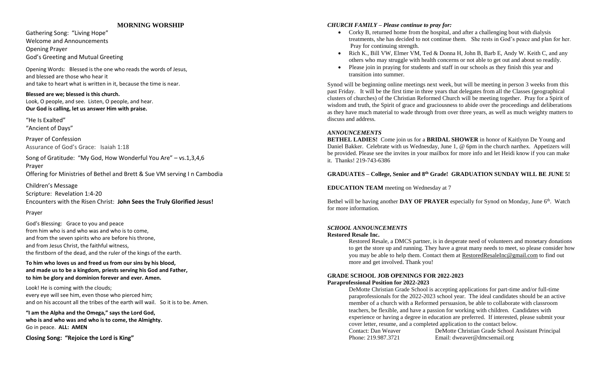## **MORNING WORSHIP**

Gathering Song: "Living Hope" Welcome and Announcements Opening Prayer God's Greeting and Mutual Greeting

Opening Words: Blessed is the one who reads the words of Jesus, and blessed are those who hear it and take to heart what is written in it, because the time is near.

**Blessed are we; blessed is this church.** Look, O people, and see. Listen, O people, and hear. **Our God is calling, let us answer Him with praise.**

"He Is Exalted" "Ancient of Days"

Prayer of Confession Assurance of God's Grace: Isaiah 1:18

Song of Gratitude: "My God, How Wonderful You Are" – vs.1,3,4,6 Prayer Offering for Ministries of Bethel and Brett & Sue VM serving I n Cambodia

Children's Message

Scripture: Revelation 1:4-20 Encounters with the Risen Christ: **John Sees the Truly Glorified Jesus!** Prayer

God's Blessing: Grace to you and peace from him who is and who was and who is to come, and from the seven spirits who are before his throne, and from Jesus Christ, the faithful witness, the firstborn of the dead, and the ruler of the kings of the earth.

# **To him who loves us and freed us from our sins by his blood, and made us to be a kingdom, priests serving his God and Father, to him be glory and dominion forever and ever. Amen.**

Look! He is coming with the clouds; every eye will see him, even those who pierced him; and on his account all the tribes of the earth will wail. So it is to be. Amen.

**"I am the Alpha and the Omega," says the Lord God, who is and who was and who is to come, the Almighty.** Go in peace. **ALL: AMEN**

**Closing Song: "Rejoice the Lord is King"** 

# *CHURCH FAMILY – Please continue to pray for:*

- Corky B, returned home from the hospital, and after a challenging bout with dialysis treatments, she has decided to not continue them. She rests in God's peace and plan for her. Pray for continuing strength.
- Rich K., Bill VW, Elmer VM, Ted & Donna H, John B, Barb E, Andy W. Keith C, and any others who may struggle with health concerns or not able to get out and about so readily.
- Please join in praying for students and staff in our schools as they finish this year and transition into summer.

Synod will be beginning online meetings next week, but will be meeting in person 3 weeks from this past Friday. It will be the first time in three years that delegates from all the Classes (geographical clusters of churches) of the Christian Reformed Church will be meeting together. Pray for a Spirit of wisdom and truth, the Spirit of grace and graciousness to abide over the proceedings and deliberations as they have much material to wade through from over three years, as well as much weighty matters to discuss and address.

## *ANNOUNCEMENTS*

**BETHEL LADIES!** Come join us for a **BRIDAL SHOWER** in honor of Kaitlynn De Young and Daniel Bakker. Celebrate with us Wednesday, June 1, @ 6pm in the church narthex. Appetizers will be provided. Please see the invites in your mailbox for more info and let Heidi know if you can make it. Thanks! 219-743-6386

# **GRADUATES – College, Senior and 8th Grade! GRADUATION SUNDAY WILL BE JUNE 5!**

**EDUCATION TEAM** meeting on Wednesday at 7

Bethel will be having another **DAY OF PRAYER** especially for Synod on Monday, June 6<sup>th</sup>. Watch for more information.

# *SCHOOL ANNOUNCEMENTS*

#### **Restored Resale Inc.**

Restored Resale, a DMCS partner, is in desperate need of volunteers and monetary donations to get the store up and running. They have a great many needs to meet, so please consider how you may be able to help them. Contact them at [RestoredResaleInc@gmail.com](mailto:RestoredResaleInc@gmail.com) to find out more and get involved. Thank you!

#### **GRADE SCHOOL JOB OPENINGS FOR 2022-2023 Paraprofessional Position for 2022-2023**

DeMotte Christian Grade School is accepting applications for part-time and/or full-time paraprofessionals for the 2022-2023 school year. The ideal candidates should be an active member of a church with a Reformed persuasion, be able to collaborate with classroom teachers, be flexible, and have a passion for working with children. Candidates with experience or having a degree in education are preferred. If interested, please submit your cover letter, resume, and a completed application to the contact below.

Contact: Dan Weaver DeMotte Christian Grade School Assistant Principal Phone: 219.987.3721 Email: dweaver@dmcsemail.org